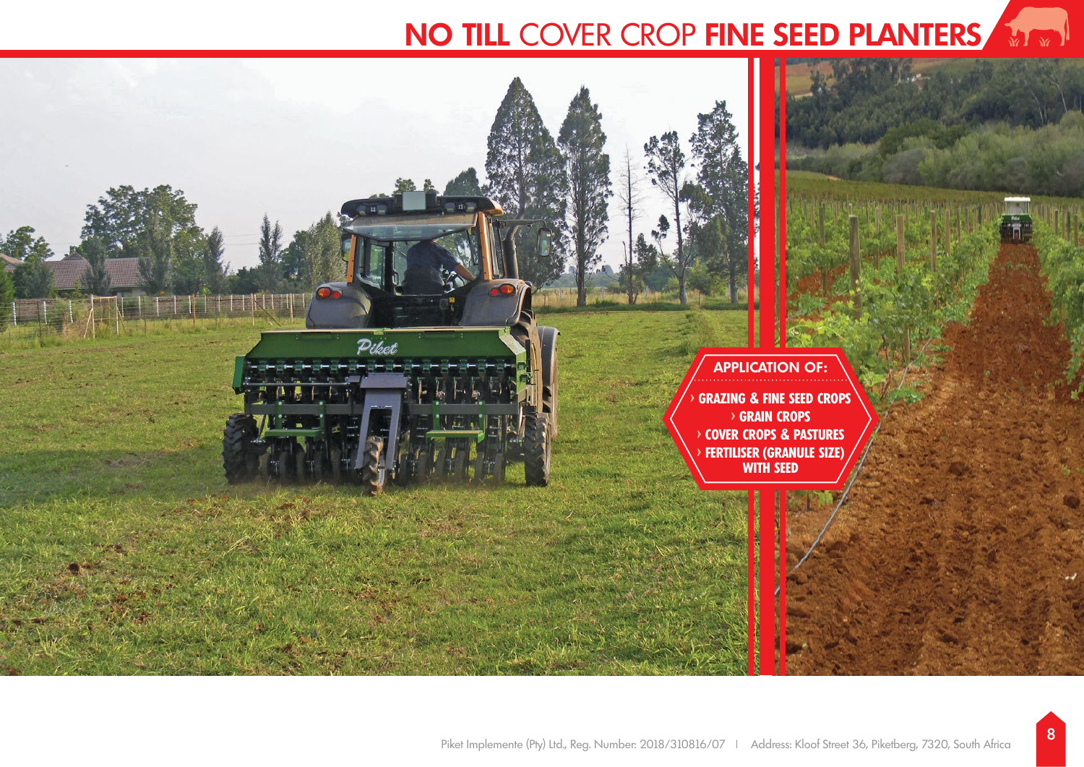# **NO TILL** COVER CROP **FINE SEED PLANTERS**

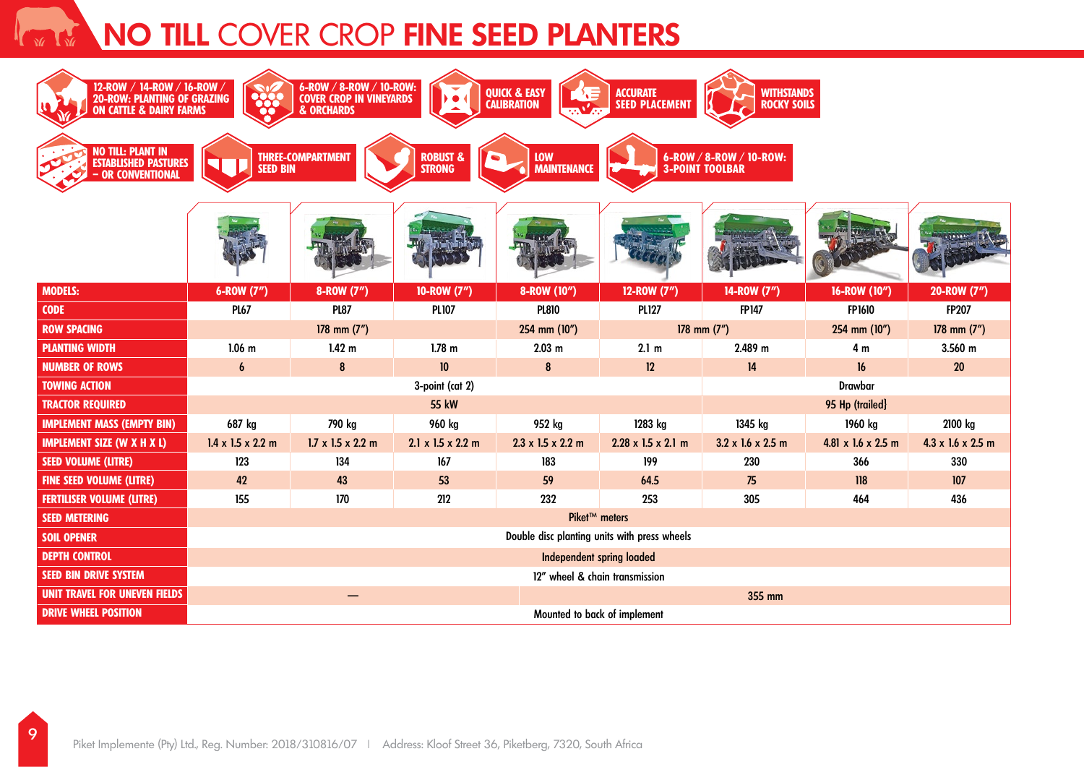# **NO TILL COVER CROP FINE SEED PLANTERS**

| 6-ROW / 8-ROW / 10-ROW:<br>COVER CROP IN VINEYARDS<br>12-ROW / 14-ROW / 16-ROW /<br>20-ROW: PLANTING OF GRAZING<br>ON CATTLE & DAIRY FARMS<br><b>QUICK &amp; EASY</b><br>WITHSTANDS<br>ROCKY SOILS<br><b>ACCURATE</b><br>223<br><b>SEED PLACEMENT</b><br><b>CALIBRATION</b><br>& ORCHARDS |                                              |                               |                                       |                                                                                       |                                |                               |                    |                               |
|-------------------------------------------------------------------------------------------------------------------------------------------------------------------------------------------------------------------------------------------------------------------------------------------|----------------------------------------------|-------------------------------|---------------------------------------|---------------------------------------------------------------------------------------|--------------------------------|-------------------------------|--------------------|-------------------------------|
| <b>NO TILL: PLANT IN</b><br><b>ESTABLISHED PASTURES</b><br>- OR CONVENTIONAL                                                                                                                                                                                                              | <b>SEED BIN</b>                              | <b>THREE-COMPARTMENT</b>      | <b>ROBUST &amp;</b><br><b>STRONG</b>  | 6-ROW / 8-ROW / 10-ROW:<br><b>LOW</b><br><b>MAINTENANCE</b><br><b>3-POINT TOOLBAR</b> |                                |                               |                    |                               |
|                                                                                                                                                                                                                                                                                           |                                              |                               |                                       |                                                                                       |                                |                               |                    |                               |
| <b>MODELS:</b>                                                                                                                                                                                                                                                                            | 6-ROW (7")                                   | 8-ROW (7")                    | 10-ROW (7")                           | 8-ROW (10")                                                                           | 12-ROW (7")                    | 14-ROW (7")                   | 16-ROW (10")       | 20-ROW (7")                   |
| <b>CODE</b>                                                                                                                                                                                                                                                                               | <b>PL67</b>                                  | <b>PL87</b>                   | <b>PL107</b>                          | <b>PL810</b>                                                                          | <b>PL127</b>                   | <b>FP147</b>                  | <b>FP1610</b>      | <b>FP207</b>                  |
| <b>ROW SPACING</b>                                                                                                                                                                                                                                                                        | 178 mm $(7")$                                |                               |                                       | 254 mm (10")                                                                          | 178 mm $(7")$                  |                               | 254 mm (10")       | 178 mm $(7")$                 |
| <b>PLANTING WIDTH</b>                                                                                                                                                                                                                                                                     | $1.06$ m                                     | 1.42 <sub>m</sub>             | $1.78$ m                              | 2.03 m                                                                                | 2.1 <sub>m</sub>               | 2.489 m                       | 4 m                | 3.560 m                       |
| <b>NUMBER OF ROWS</b>                                                                                                                                                                                                                                                                     | 6                                            | 8                             | 10                                    | 8                                                                                     | 12                             | 14                            | 16                 | 20                            |
| <b>TOWING ACTION</b>                                                                                                                                                                                                                                                                      | 3-point (cat 2)                              |                               |                                       |                                                                                       |                                | <b>Drawbar</b>                |                    |                               |
| <b>TRACTOR REQUIRED</b>                                                                                                                                                                                                                                                                   | <b>55 kW</b>                                 |                               |                                       |                                                                                       |                                | 95 Hp (trailed)               |                    |                               |
| <b>IMPLEMENT MASS (EMPTY BIN)</b>                                                                                                                                                                                                                                                         | 687 kg                                       | 790 kg                        | 960 kg                                | 952 kg                                                                                | 1283 kg                        | 1345 kg                       | 1960 kg            | 2100 kg                       |
| <b>IMPLEMENT SIZE (W X H X L)</b>                                                                                                                                                                                                                                                         | $1.4 \times 1.5 \times 2.2$ m                | $1.7 \times 1.5 \times 2.2$ m | $2.1 \times 1.5 \times 2.2 \text{ m}$ | $2.3 \times 1.5 \times 2.2$ m                                                         | $2.28 \times 1.5 \times 2.1$ m | $3.2 \times 1.6 \times 2.5$ m | 4.81 x 1.6 x 2.5 m | $4.3 \times 1.6 \times 2.5$ m |
| <b>SEED VOLUME (LITRE)</b>                                                                                                                                                                                                                                                                | 123                                          | 134                           | 167                                   | 183                                                                                   | 199                            | 230                           | 366                | 330                           |
| <b>FINE SEED VOLUME (LITRE)</b>                                                                                                                                                                                                                                                           | 42                                           | 43                            | 53                                    | 59                                                                                    | 64.5                           | 75                            | 118                | 107                           |
| <b>FERTILISER VOLUME (LITRE)</b>                                                                                                                                                                                                                                                          | 155                                          | 170                           | 212                                   | 232                                                                                   | 253                            | 305                           | 464                | 436                           |
| <b>SEED METERING</b>                                                                                                                                                                                                                                                                      | Piket™ meters                                |                               |                                       |                                                                                       |                                |                               |                    |                               |
| <b>SOIL OPENER</b>                                                                                                                                                                                                                                                                        | Double disc planting units with press wheels |                               |                                       |                                                                                       |                                |                               |                    |                               |
| <b>DEPTH CONTROL</b>                                                                                                                                                                                                                                                                      | <b>Independent spring loaded</b>             |                               |                                       |                                                                                       |                                |                               |                    |                               |
| <b>SEED BIN DRIVE SYSTEM</b>                                                                                                                                                                                                                                                              | 12" wheel & chain transmission               |                               |                                       |                                                                                       |                                |                               |                    |                               |
| UNIT TRAVEL FOR UNEVEN FIELDS                                                                                                                                                                                                                                                             | 355 mm                                       |                               |                                       |                                                                                       |                                |                               |                    |                               |
| <b>DRIVE WHEEL POSITION</b>                                                                                                                                                                                                                                                               | Mounted to back of implement                 |                               |                                       |                                                                                       |                                |                               |                    |                               |